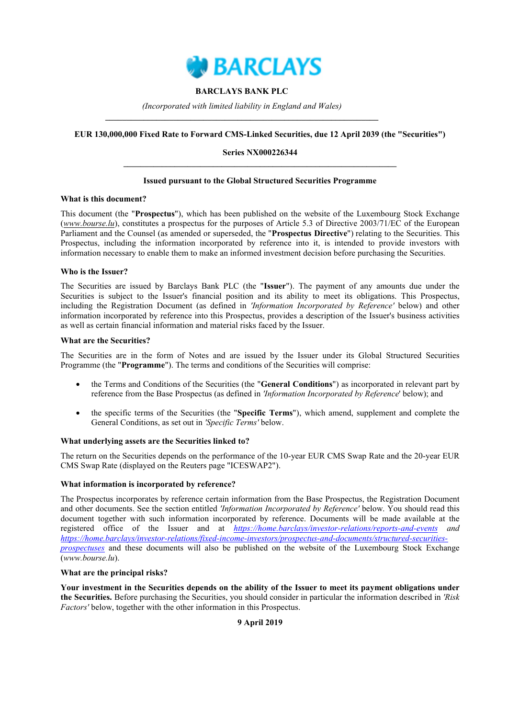

## **BARCLAYS BANK PLC**

*(Incorporated with limited liability in England and Wales)* **\_\_\_\_\_\_\_\_\_\_\_\_\_\_\_\_\_\_\_\_\_\_\_\_\_\_\_\_\_\_\_\_\_\_\_\_\_\_\_\_\_\_\_\_\_\_\_\_\_\_\_\_\_\_\_\_\_\_\_\_\_\_\_\_**

## **EUR 130,000,000 Fixed Rate to Forward CMS-Linked Securities, due 12 April 2039 (the "Securities")**

## **Series NX000226344 \_\_\_\_\_\_\_\_\_\_\_\_\_\_\_\_\_\_\_\_\_\_\_\_\_\_\_\_\_\_\_\_\_\_\_\_\_\_\_\_\_\_\_\_\_\_\_\_\_\_\_\_\_\_\_\_\_\_\_\_\_\_\_\_**

## **Issued pursuant to the Global Structured Securities Programme**

### **What is this document?**

This document (the "**Prospectus**"), which has been published on the website of the Luxembourg Stock Exchange (*www.bourse.lu*), constitutes a prospectus for the purposes of Article 5.3 of Directive 2003/71/EC of the European Parliament and the Counsel (as amended or superseded, the "**Prospectus Directive**") relating to the Securities. This Prospectus, including the information incorporated by reference into it, is intended to provide investors with information necessary to enable them to make an informed investment decision before purchasing the Securities.

### **Who is the Issuer?**

The Securities are issued by Barclays Bank PLC (the "**Issuer**"). The payment of any amounts due under the Securities is subject to the Issuer's financial position and its ability to meet its obligations. This Prospectus, including the Registration Document (as defined in *'Information Incorporated by Reference'* below) and other information incorporated by reference into this Prospectus, provides a description of the Issuer's business activities as well as certain financial information and material risks faced by the Issuer.

### **What are the Securities?**

The Securities are in the form of Notes and are issued by the Issuer under its Global Structured Securities Programme (the "**Programme**"). The terms and conditions of the Securities will comprise:

- the Terms and Conditions of the Securities (the "**General Conditions**") as incorporated in relevant part by reference from the Base Prospectus (as defined in *'Information Incorporated by Reference*' below); and
- the specific terms of the Securities (the "**Specific Terms**"), which amend, supplement and complete the General Conditions, as set out in *'Specific Terms'* below.

## **What underlying assets are the Securities linked to?**

The return on the Securities depends on the performance of the 10-year EUR CMS Swap Rate and the 20-year EUR CMS Swap Rate (displayed on the Reuters page "ICESWAP2").

## **What information is incorporated by reference?**

The Prospectus incorporates by reference certain information from the Base Prospectus, the Registration Document and other documents. See the section entitled *'Information Incorporated by Reference'* below. You should read this document together with such information incorporated by reference. Documents will be made available at the registered office of the Issuer and at *https://home.barclays/investor-relations/reports-and-events and https://home.barclays/investor-relations/fixed-income-investors/prospectus-and-documents/structured-securitiesprospectuses* and these documents will also be published on the website of the Luxembourg Stock Exchange (*www.bourse.lu*).

### **What are the principal risks?**

**Your investment in the Securities depends on the ability of the Issuer to meet its payment obligations under the Securities.** Before purchasing the Securities, you should consider in particular the information described in *'Risk Factors'* below, together with the other information in this Prospectus.

## **9 April 2019**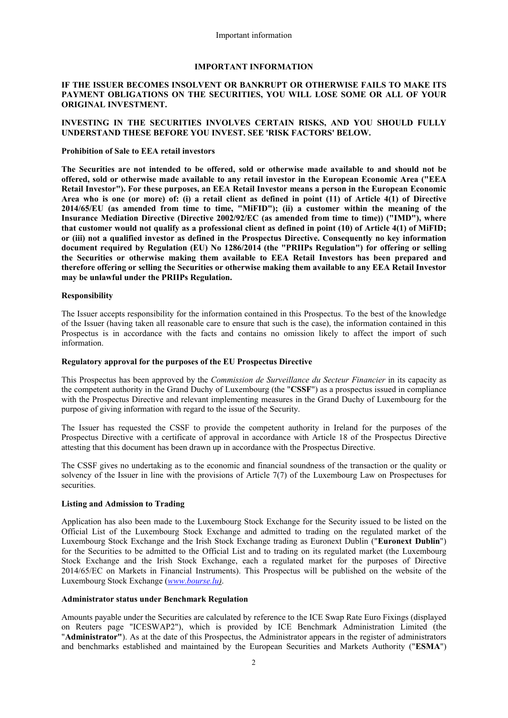### **IMPORTANT INFORMATION**

## **IF THE ISSUER BECOMES INSOLVENT OR BANKRUPT OR OTHERWISE FAILS TO MAKE ITS PAYMENT OBLIGATIONS ON THE SECURITIES, YOU WILL LOSE SOME OR ALL OF YOUR ORIGINAL INVESTMENT.**

## **INVESTING IN THE SECURITIES INVOLVES CERTAIN RISKS, AND YOU SHOULD FULLY UNDERSTAND THESE BEFORE YOU INVEST. SEE 'RISK FACTORS' BELOW.**

#### **Prohibition of Sale to EEA retail investors**

**The Securities are not intended to be offered, sold or otherwise made available to and should not be offered, sold or otherwise made available to any retail investor in the European Economic Area ("EEA Retail Investor"). For these purposes, an EEA Retail Investor means a person in the European Economic Area who is one (or more) of: (i) a retail client as defined in point (11) of Article 4(1) of Directive 2014/65/EU (as amended from time to time, "MiFID"); (ii) a customer within the meaning of the Insurance Mediation Directive (Directive 2002/92/EC (as amended from time to time)) ("IMD"), where that customer would not qualify as a professional client as defined in point (10) of Article 4(1) of MiFID; or (iii) not a qualified investor as defined in the Prospectus Directive. Consequently no key information document required by Regulation (EU) No 1286/2014 (the "PRIIPs Regulation") for offering or selling the Securities or otherwise making them available to EEA Retail Investors has been prepared and therefore offering or selling the Securities or otherwise making them available to any EEA Retail Investor may be unlawful under the PRIIPs Regulation.**

### **Responsibility**

The Issuer accepts responsibility for the information contained in this Prospectus. To the best of the knowledge of the Issuer (having taken all reasonable care to ensure that such is the case), the information contained in this Prospectus is in accordance with the facts and contains no omission likely to affect the import of such information.

#### **Regulatory approval for the purposes of the EU Prospectus Directive**

This Prospectus has been approved by the *Commission de Surveillance du Secteur Financier* in its capacity as the competent authority in the Grand Duchy of Luxembourg (the "**CSSF**") as a prospectus issued in compliance with the Prospectus Directive and relevant implementing measures in the Grand Duchy of Luxembourg for the purpose of giving information with regard to the issue of the Security.

The Issuer has requested the CSSF to provide the competent authority in Ireland for the purposes of the Prospectus Directive with a certificate of approval in accordance with Article 18 of the Prospectus Directive attesting that this document has been drawn up in accordance with the Prospectus Directive.

The CSSF gives no undertaking as to the economic and financial soundness of the transaction or the quality or solvency of the Issuer in line with the provisions of Article 7(7) of the Luxembourg Law on Prospectuses for securities.

## **Listing and Admission to Trading**

Application has also been made to the Luxembourg Stock Exchange for the Security issued to be listed on the Official List of the Luxembourg Stock Exchange and admitted to trading on the regulated market of the Luxembourg Stock Exchange and the Irish Stock Exchange trading as Euronext Dublin ("**Euronext Dublin**") for the Securities to be admitted to the Official List and to trading on its regulated market (the Luxembourg Stock Exchange and the Irish Stock Exchange, each a regulated market for the purposes of Directive 2014/65/EC on Markets in Financial Instruments). This Prospectus will be published on the website of the Luxembourg Stock Exchange (*www.bourse.lu)*.

#### **Administrator status under Benchmark Regulation**

Amounts payable under the Securities are calculated by reference to the ICE Swap Rate Euro Fixings (displayed on Reuters page "ICESWAP2"), which is provided by ICE Benchmark Administration Limited (the "**Administrator"**). As at the date of this Prospectus, the Administrator appears in the register of administrators and benchmarks established and maintained by the European Securities and Markets Authority ("**ESMA**")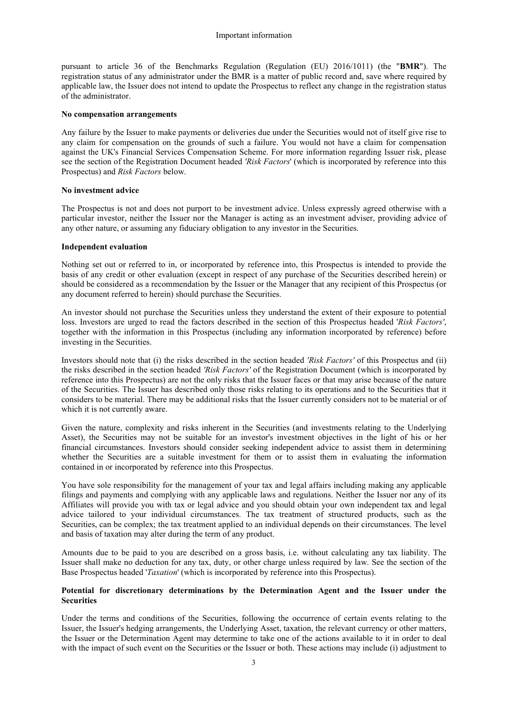pursuant to article 36 of the Benchmarks Regulation (Regulation (EU) 2016/1011) (the "**BMR**"). The registration status of any administrator under the BMR is a matter of public record and, save where required by applicable law, the Issuer does not intend to update the Prospectus to reflect any change in the registration status of the administrator.

#### **No compensation arrangements**

Any failure by the Issuer to make payments or deliveries due under the Securities would not of itself give rise to any claim for compensation on the grounds of such a failure. You would not have a claim for compensation against the UK's Financial Services Compensation Scheme. For more information regarding Issuer risk, please see the section of the Registration Document headed *'Risk Factors*' (which is incorporated by reference into this Prospectus) and *Risk Factors* below.

## **No investment advice**

The Prospectus is not and does not purport to be investment advice. Unless expressly agreed otherwise with a particular investor, neither the Issuer nor the Manager is acting as an investment adviser, providing advice of any other nature, or assuming any fiduciary obligation to any investor in the Securities.

### **Independent evaluation**

Nothing set out or referred to in, or incorporated by reference into, this Prospectus is intended to provide the basis of any credit or other evaluation (except in respect of any purchase of the Securities described herein) or should be considered as a recommendation by the Issuer or the Manager that any recipient of this Prospectus (or any document referred to herein) should purchase the Securities.

An investor should not purchase the Securities unless they understand the extent of their exposure to potential loss. Investors are urged to read the factors described in the section of this Prospectus headed '*Risk Factors'*, together with the information in this Prospectus (including any information incorporated by reference) before investing in the Securities.

Investors should note that (i) the risks described in the section headed *'Risk Factors'* of this Prospectus and (ii) the risks described in the section headed *'Risk Factors'* of the Registration Document (which is incorporated by reference into this Prospectus) are not the only risks that the Issuer faces or that may arise because of the nature of the Securities. The Issuer has described only those risks relating to its operations and to the Securities that it considers to be material. There may be additional risks that the Issuer currently considers not to be material or of which it is not currently aware.

Given the nature, complexity and risks inherent in the Securities (and investments relating to the Underlying Asset), the Securities may not be suitable for an investor's investment objectives in the light of his or her financial circumstances. Investors should consider seeking independent advice to assist them in determining whether the Securities are a suitable investment for them or to assist them in evaluating the information contained in or incorporated by reference into this Prospectus.

You have sole responsibility for the management of your tax and legal affairs including making any applicable filings and payments and complying with any applicable laws and regulations. Neither the Issuer nor any of its Affiliates will provide you with tax or legal advice and you should obtain your own independent tax and legal advice tailored to your individual circumstances. The tax treatment of structured products, such as the Securities, can be complex; the tax treatment applied to an individual depends on their circumstances. The level and basis of taxation may alter during the term of any product.

Amounts due to be paid to you are described on a gross basis, i.e. without calculating any tax liability. The Issuer shall make no deduction for any tax, duty, or other charge unless required by law. See the section of the Base Prospectus headed '*Taxation*' (which is incorporated by reference into this Prospectus).

## **Potential for discretionary determinations by the Determination Agent and the Issuer under the Securities**

Under the terms and conditions of the Securities, following the occurrence of certain events relating to the Issuer, the Issuer's hedging arrangements, the Underlying Asset, taxation, the relevant currency or other matters, the Issuer or the Determination Agent may determine to take one of the actions available to it in order to deal with the impact of such event on the Securities or the Issuer or both. These actions may include (i) adjustment to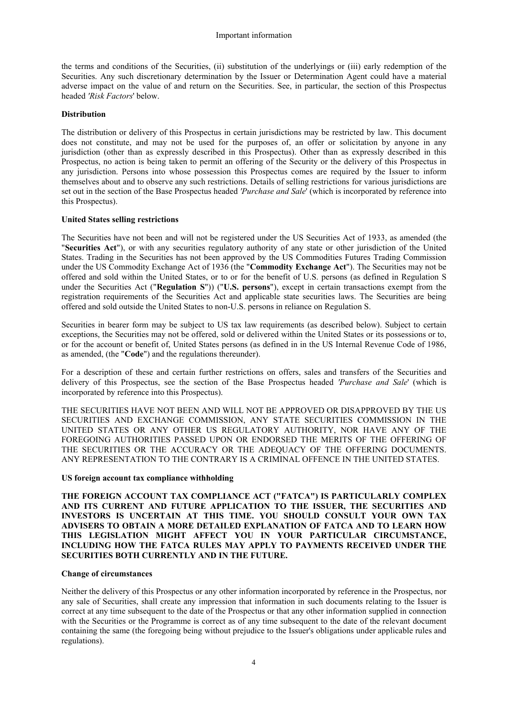the terms and conditions of the Securities, (ii) substitution of the underlyings or (iii) early redemption of the Securities. Any such discretionary determination by the Issuer or Determination Agent could have a material adverse impact on the value of and return on the Securities. See, in particular, the section of this Prospectus headed *'Risk Factors*' below.

#### **Distribution**

The distribution or delivery of this Prospectus in certain jurisdictions may be restricted by law. This document does not constitute, and may not be used for the purposes of, an offer or solicitation by anyone in any jurisdiction (other than as expressly described in this Prospectus). Other than as expressly described in this Prospectus, no action is being taken to permit an offering of the Security or the delivery of this Prospectus in any jurisdiction. Persons into whose possession this Prospectus comes are required by the Issuer to inform themselves about and to observe any such restrictions. Details of selling restrictions for various jurisdictions are set out in the section of the Base Prospectus headed *'Purchase and Sale*' (which is incorporated by reference into this Prospectus).

#### **United States selling restrictions**

The Securities have not been and will not be registered under the US Securities Act of 1933, as amended (the "**Securities Act**"), or with any securities regulatory authority of any state or other jurisdiction of the United States. Trading in the Securities has not been approved by the US Commodities Futures Trading Commission under the US Commodity Exchange Act of 1936 (the "**Commodity Exchange Act**"). The Securities may not be offered and sold within the United States, or to or for the benefit of U.S. persons (as defined in Regulation S under the Securities Act ("**Regulation S**")) ("**U.S. persons**"), except in certain transactions exempt from the registration requirements of the Securities Act and applicable state securities laws. The Securities are being offered and sold outside the United States to non-U.S. persons in reliance on Regulation S.

Securities in bearer form may be subject to US tax law requirements (as described below). Subject to certain exceptions, the Securities may not be offered, sold or delivered within the United States or its possessions or to, or for the account or benefit of, United States persons (as defined in in the US Internal Revenue Code of 1986, as amended, (the "**Code**") and the regulations thereunder).

For a description of these and certain further restrictions on offers, sales and transfers of the Securities and delivery of this Prospectus, see the section of the Base Prospectus headed *'Purchase and Sale*' (which is incorporated by reference into this Prospectus).

THE SECURITIES HAVE NOT BEEN AND WILL NOT BE APPROVED OR DISAPPROVED BY THE US SECURITIES AND EXCHANGE COMMISSION, ANY STATE SECURITIES COMMISSION IN THE UNITED STATES OR ANY OTHER US REGULATORY AUTHORITY, NOR HAVE ANY OF THE FOREGOING AUTHORITIES PASSED UPON OR ENDORSED THE MERITS OF THE OFFERING OF THE SECURITIES OR THE ACCURACY OR THE ADEQUACY OF THE OFFERING DOCUMENTS. ANY REPRESENTATION TO THE CONTRARY IS A CRIMINAL OFFENCE IN THE UNITED STATES.

#### **US foreign account tax compliance withholding**

**THE FOREIGN ACCOUNT TAX COMPLIANCE ACT ("FATCA") IS PARTICULARLY COMPLEX AND ITS CURRENT AND FUTURE APPLICATION TO THE ISSUER, THE SECURITIES AND INVESTORS IS UNCERTAIN AT THIS TIME. YOU SHOULD CONSULT YOUR OWN TAX ADVISERS TO OBTAIN A MORE DETAILED EXPLANATION OF FATCA AND TO LEARN HOW THIS LEGISLATION MIGHT AFFECT YOU IN YOUR PARTICULAR CIRCUMSTANCE, INCLUDING HOW THE FATCA RULES MAY APPLY TO PAYMENTS RECEIVED UNDER THE SECURITIES BOTH CURRENTLY AND IN THE FUTURE.** 

#### **Change of circumstances**

Neither the delivery of this Prospectus or any other information incorporated by reference in the Prospectus, nor any sale of Securities, shall create any impression that information in such documents relating to the Issuer is correct at any time subsequent to the date of the Prospectus or that any other information supplied in connection with the Securities or the Programme is correct as of any time subsequent to the date of the relevant document containing the same (the foregoing being without prejudice to the Issuer's obligations under applicable rules and regulations).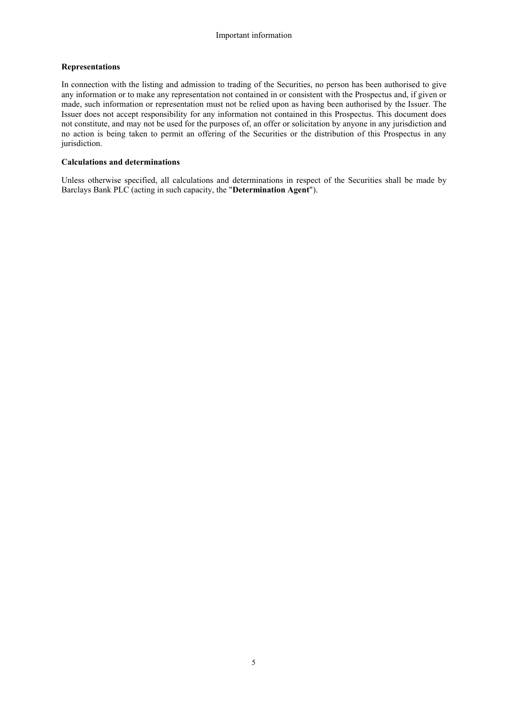## **Representations**

In connection with the listing and admission to trading of the Securities, no person has been authorised to give any information or to make any representation not contained in or consistent with the Prospectus and, if given or made, such information or representation must not be relied upon as having been authorised by the Issuer. The Issuer does not accept responsibility for any information not contained in this Prospectus. This document does not constitute, and may not be used for the purposes of, an offer or solicitation by anyone in any jurisdiction and no action is being taken to permit an offering of the Securities or the distribution of this Prospectus in any jurisdiction.

## **Calculations and determinations**

Unless otherwise specified, all calculations and determinations in respect of the Securities shall be made by Barclays Bank PLC (acting in such capacity, the "**Determination Agent**").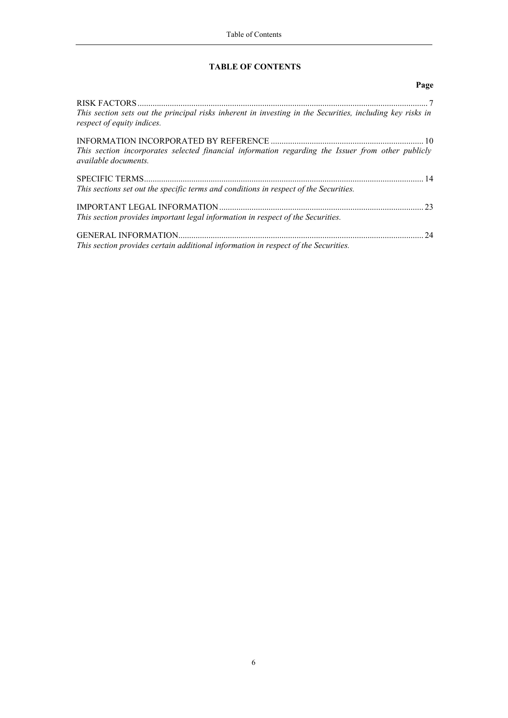## **TABLE OF CONTENTS**

|                                                                                                                                         | Page |
|-----------------------------------------------------------------------------------------------------------------------------------------|------|
|                                                                                                                                         |      |
| This section sets out the principal risks inherent in investing in the Securities, including key risks in<br>respect of equity indices. |      |
| This section incorporates selected financial information regarding the Issuer from other publicly<br><i>available documents.</i>        |      |
|                                                                                                                                         |      |
| This sections set out the specific terms and conditions in respect of the Securities.                                                   |      |
|                                                                                                                                         | 23   |
| This section provides important legal information in respect of the Securities.                                                         |      |
|                                                                                                                                         | 24   |
| This section provides certain additional information in respect of the Securities.                                                      |      |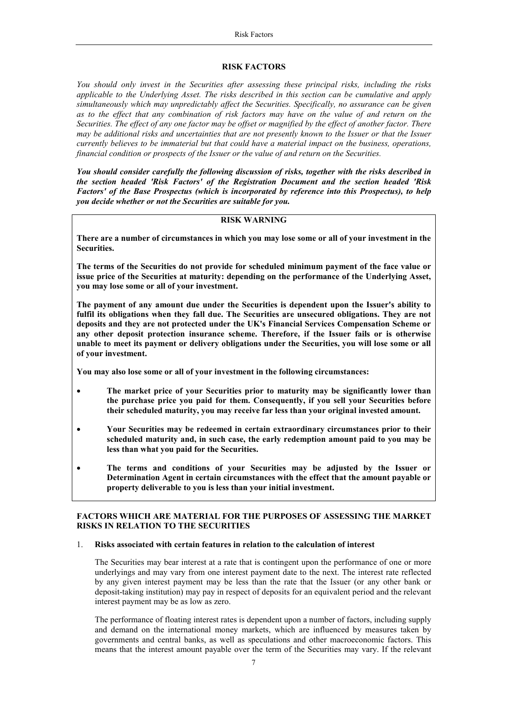#### **RISK FACTORS**

*You should only invest in the Securities after assessing these principal risks, including the risks applicable to the Underlying Asset. The risks described in this section can be cumulative and apply simultaneously which may unpredictably affect the Securities. Specifically, no assurance can be given as to the effect that any combination of risk factors may have on the value of and return on the Securities. The effect of any one factor may be offset or magnified by the effect of another factor. There may be additional risks and uncertainties that are not presently known to the Issuer or that the Issuer currently believes to be immaterial but that could have a material impact on the business, operations, financial condition or prospects of the Issuer or the value of and return on the Securities.* 

*You should consider carefully the following discussion of risks, together with the risks described in the section headed 'Risk Factors' of the Registration Document and the section headed 'Risk Factors' of the Base Prospectus (which is incorporated by reference into this Prospectus), to help you decide whether or not the Securities are suitable for you.*

## **RISK WARNING**

**There are a number of circumstances in which you may lose some or all of your investment in the Securities.**

**The terms of the Securities do not provide for scheduled minimum payment of the face value or issue price of the Securities at maturity: depending on the performance of the Underlying Asset, you may lose some or all of your investment.**

**The payment of any amount due under the Securities is dependent upon the Issuer's ability to fulfil its obligations when they fall due. The Securities are unsecured obligations. They are not deposits and they are not protected under the UK's Financial Services Compensation Scheme or any other deposit protection insurance scheme. Therefore, if the Issuer fails or is otherwise unable to meet its payment or delivery obligations under the Securities, you will lose some or all of your investment.** 

**You may also lose some or all of your investment in the following circumstances:**

- **The market price of your Securities prior to maturity may be significantly lower than the purchase price you paid for them. Consequently, if you sell your Securities before their scheduled maturity, you may receive far less than your original invested amount.**
- **Your Securities may be redeemed in certain extraordinary circumstances prior to their scheduled maturity and, in such case, the early redemption amount paid to you may be less than what you paid for the Securities.**
- **The terms and conditions of your Securities may be adjusted by the Issuer or Determination Agent in certain circumstances with the effect that the amount payable or property deliverable to you is less than your initial investment.**

## **FACTORS WHICH ARE MATERIAL FOR THE PURPOSES OF ASSESSING THE MARKET RISKS IN RELATION TO THE SECURITIES**

#### 1. **Risks associated with certain features in relation to the calculation of interest**

The Securities may bear interest at a rate that is contingent upon the performance of one or more underlyings and may vary from one interest payment date to the next. The interest rate reflected by any given interest payment may be less than the rate that the Issuer (or any other bank or deposit-taking institution) may pay in respect of deposits for an equivalent period and the relevant interest payment may be as low as zero.

The performance of floating interest rates is dependent upon a number of factors, including supply and demand on the international money markets, which are influenced by measures taken by governments and central banks, as well as speculations and other macroeconomic factors. This means that the interest amount payable over the term of the Securities may vary. If the relevant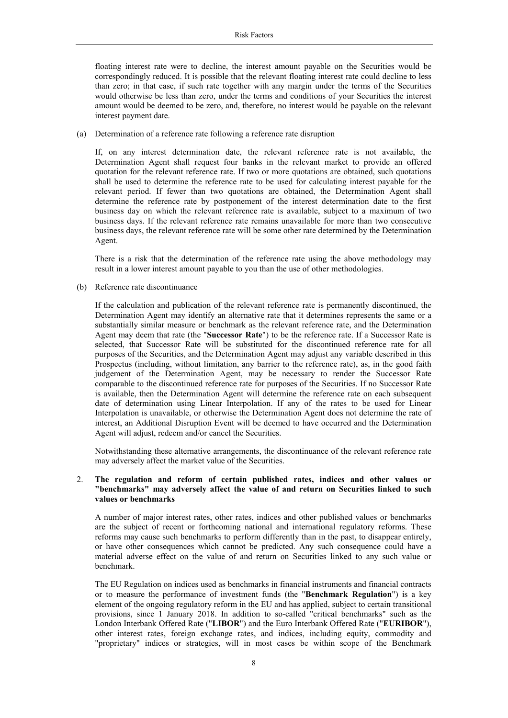floating interest rate were to decline, the interest amount payable on the Securities would be correspondingly reduced. It is possible that the relevant floating interest rate could decline to less than zero; in that case, if such rate together with any margin under the terms of the Securities would otherwise be less than zero, under the terms and conditions of your Securities the interest amount would be deemed to be zero, and, therefore, no interest would be payable on the relevant interest payment date.

(a) Determination of a reference rate following a reference rate disruption

If, on any interest determination date, the relevant reference rate is not available, the Determination Agent shall request four banks in the relevant market to provide an offered quotation for the relevant reference rate. If two or more quotations are obtained, such quotations shall be used to determine the reference rate to be used for calculating interest payable for the relevant period. If fewer than two quotations are obtained, the Determination Agent shall determine the reference rate by postponement of the interest determination date to the first business day on which the relevant reference rate is available, subject to a maximum of two business days. If the relevant reference rate remains unavailable for more than two consecutive business days, the relevant reference rate will be some other rate determined by the Determination Agent.

There is a risk that the determination of the reference rate using the above methodology may result in a lower interest amount payable to you than the use of other methodologies.

(b) Reference rate discontinuance

If the calculation and publication of the relevant reference rate is permanently discontinued, the Determination Agent may identify an alternative rate that it determines represents the same or a substantially similar measure or benchmark as the relevant reference rate, and the Determination Agent may deem that rate (the "**Successor Rate**") to be the reference rate. If a Successor Rate is selected, that Successor Rate will be substituted for the discontinued reference rate for all purposes of the Securities, and the Determination Agent may adjust any variable described in this Prospectus (including, without limitation, any barrier to the reference rate), as, in the good faith judgement of the Determination Agent, may be necessary to render the Successor Rate comparable to the discontinued reference rate for purposes of the Securities. If no Successor Rate is available, then the Determination Agent will determine the reference rate on each subsequent date of determination using Linear Interpolation. If any of the rates to be used for Linear Interpolation is unavailable, or otherwise the Determination Agent does not determine the rate of interest, an Additional Disruption Event will be deemed to have occurred and the Determination Agent will adjust, redeem and/or cancel the Securities.

Notwithstanding these alternative arrangements, the discontinuance of the relevant reference rate may adversely affect the market value of the Securities.

## 2. **The regulation and reform of certain published rates, indices and other values or "benchmarks" may adversely affect the value of and return on Securities linked to such values or benchmarks**

A number of major interest rates, other rates, indices and other published values or benchmarks are the subject of recent or forthcoming national and international regulatory reforms. These reforms may cause such benchmarks to perform differently than in the past, to disappear entirely, or have other consequences which cannot be predicted. Any such consequence could have a material adverse effect on the value of and return on Securities linked to any such value or benchmark.

The EU Regulation on indices used as benchmarks in financial instruments and financial contracts or to measure the performance of investment funds (the "**Benchmark Regulation**") is a key element of the ongoing regulatory reform in the EU and has applied, subject to certain transitional provisions, since 1 January 2018. In addition to so-called "critical benchmarks" such as the London Interbank Offered Rate ("**LIBOR**") and the Euro Interbank Offered Rate ("**EURIBOR**"), other interest rates, foreign exchange rates, and indices, including equity, commodity and "proprietary" indices or strategies, will in most cases be within scope of the Benchmark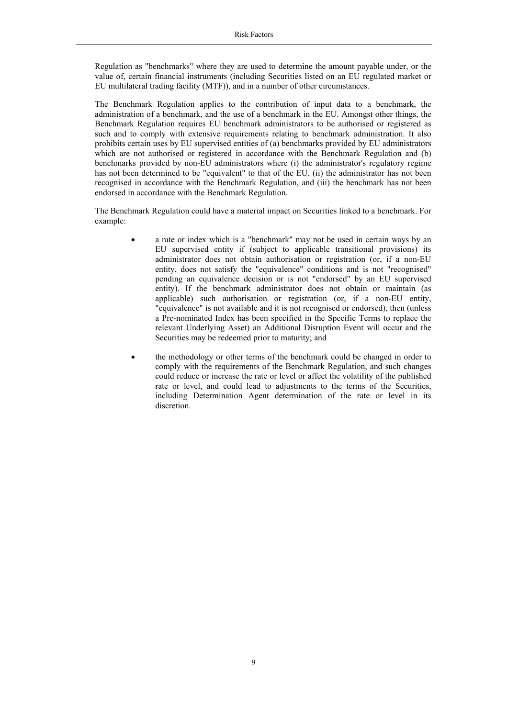Regulation as "benchmarks" where they are used to determine the amount payable under, or the value of, certain financial instruments (including Securities listed on an EU regulated market or EU multilateral trading facility (MTF)), and in a number of other circumstances.

The Benchmark Regulation applies to the contribution of input data to a benchmark, the administration of a benchmark, and the use of a benchmark in the EU. Amongst other things, the Benchmark Regulation requires EU benchmark administrators to be authorised or registered as such and to comply with extensive requirements relating to benchmark administration. It also prohibits certain uses by EU supervised entities of (a) benchmarks provided by EU administrators which are not authorised or registered in accordance with the Benchmark Regulation and (b) benchmarks provided by non-EU administrators where (i) the administrator's regulatory regime has not been determined to be "equivalent" to that of the EU, (ii) the administrator has not been recognised in accordance with the Benchmark Regulation, and (iii) the benchmark has not been endorsed in accordance with the Benchmark Regulation.

The Benchmark Regulation could have a material impact on Securities linked to a benchmark. For example:

- a rate or index which is a "benchmark" may not be used in certain ways by an EU supervised entity if (subject to applicable transitional provisions) its administrator does not obtain authorisation or registration (or, if a non-EU entity, does not satisfy the "equivalence" conditions and is not "recognised" pending an equivalence decision or is not "endorsed" by an EU supervised entity). If the benchmark administrator does not obtain or maintain (as applicable) such authorisation or registration (or, if a non-EU entity, "equivalence" is not available and it is not recognised or endorsed), then (unless a Pre-nominated Index has been specified in the Specific Terms to replace the relevant Underlying Asset) an Additional Disruption Event will occur and the Securities may be redeemed prior to maturity; and
- the methodology or other terms of the benchmark could be changed in order to comply with the requirements of the Benchmark Regulation, and such changes could reduce or increase the rate or level or affect the volatility of the published rate or level, and could lead to adjustments to the terms of the Securities, including Determination Agent determination of the rate or level in its discretion.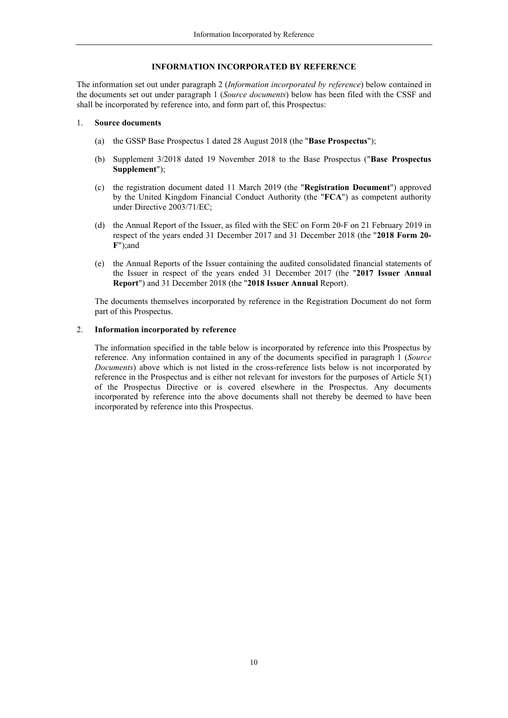## **INFORMATION INCORPORATED BY REFERENCE**

The information set out under paragraph 2 (*Information incorporated by reference*) below contained in the documents set out under paragraph 1 (*Source documents*) below has been filed with the CSSF and shall be incorporated by reference into, and form part of, this Prospectus:

### 1. **Source documents**

- (a) the GSSP Base Prospectus 1 dated 28 August 2018 (the "**Base Prospectus**");
- (b) Supplement 3/2018 dated 19 November 2018 to the Base Prospectus ("**Base Prospectus Supplement**");
- (c) the registration document dated 11 March 2019 (the "**Registration Document**") approved by the United Kingdom Financial Conduct Authority (the "**FCA**") as competent authority under Directive 2003/71/EC;
- (d) the Annual Report of the Issuer, as filed with the SEC on Form 20-F on 21 February 2019 in respect of the years ended 31 December 2017 and 31 December 2018 (the "**2018 Form 20- F**");and
- (e) the Annual Reports of the Issuer containing the audited consolidated financial statements of the Issuer in respect of the years ended 31 December 2017 (the "**2017 Issuer Annual Report**") and 31 December 2018 (the "**2018 Issuer Annual** Report).

The documents themselves incorporated by reference in the Registration Document do not form part of this Prospectus.

## 2. **Information incorporated by reference**

The information specified in the table below is incorporated by reference into this Prospectus by reference. Any information contained in any of the documents specified in paragraph 1 (*Source Documents*) above which is not listed in the cross-reference lists below is not incorporated by reference in the Prospectus and is either not relevant for investors for the purposes of Article 5(1) of the Prospectus Directive or is covered elsewhere in the Prospectus. Any documents incorporated by reference into the above documents shall not thereby be deemed to have been incorporated by reference into this Prospectus.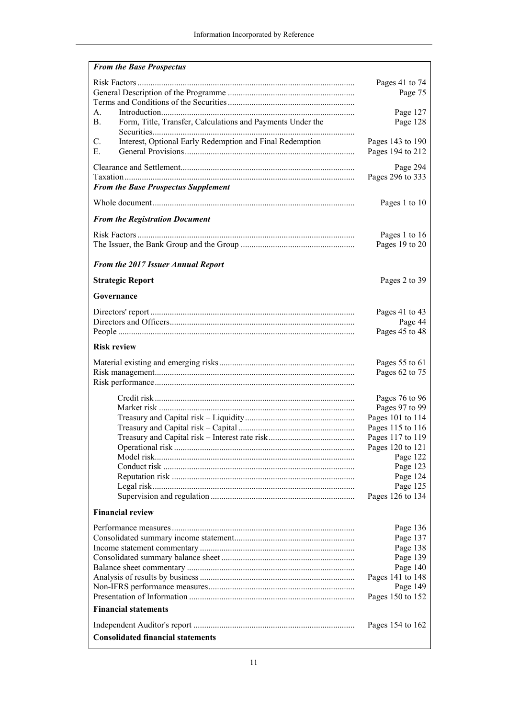| <b>From the Base Prospectus</b>                                             |                              |
|-----------------------------------------------------------------------------|------------------------------|
|                                                                             | Pages 41 to 74               |
|                                                                             | Page 75                      |
|                                                                             |                              |
| A <sub>1</sub>                                                              | Page 127                     |
| Form, Title, Transfer, Calculations and Payments Under the<br><b>B.</b>     | Page 128                     |
| Interest, Optional Early Redemption and Final Redemption<br>$\mathcal{C}$ . | Pages 143 to 190             |
| Е.                                                                          | Pages 194 to 212             |
|                                                                             | Page 294                     |
|                                                                             | Pages 296 to 333             |
| <b>From the Base Prospectus Supplement</b>                                  |                              |
|                                                                             | Pages 1 to 10                |
| <b>From the Registration Document</b>                                       |                              |
|                                                                             | Pages 1 to 16                |
|                                                                             | Pages 19 to 20               |
|                                                                             |                              |
| From the 2017 Issuer Annual Report                                          |                              |
| <b>Strategic Report</b>                                                     | Pages 2 to 39                |
| Governance                                                                  |                              |
|                                                                             | Pages 41 to 43               |
|                                                                             | Page 44                      |
|                                                                             | Pages 45 to 48               |
| <b>Risk review</b>                                                          |                              |
|                                                                             | Pages 55 to 61               |
|                                                                             | Pages 62 to 75               |
|                                                                             |                              |
|                                                                             | Pages 76 to 96               |
|                                                                             | Pages 97 to 99               |
|                                                                             | Pages 101 to 114             |
|                                                                             | Pages 115 to 116             |
|                                                                             | Pages 117 to 119             |
|                                                                             | Pages 120 to 121             |
|                                                                             | Page 122                     |
|                                                                             | Page 123                     |
|                                                                             | Page 124                     |
|                                                                             | Page 125<br>Pages 126 to 134 |
| <b>Financial review</b>                                                     |                              |
|                                                                             |                              |
|                                                                             | Page 136                     |
|                                                                             | Page 137                     |
|                                                                             | Page 138<br>Page 139         |
|                                                                             | Page 140                     |
|                                                                             | Pages 141 to 148             |
|                                                                             | Page 149                     |
|                                                                             | Pages 150 to 152             |
| <b>Financial statements</b>                                                 |                              |
|                                                                             | Pages 154 to 162             |
| <b>Consolidated financial statements</b>                                    |                              |
|                                                                             |                              |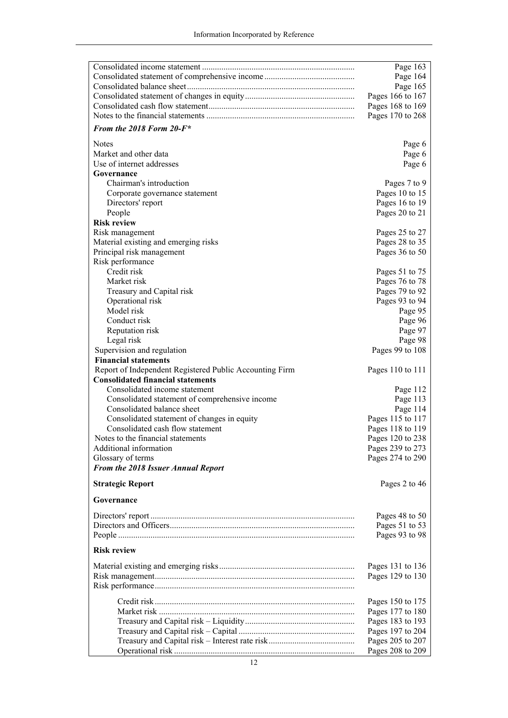| Page 164<br>Page 165<br>Pages 166 to 167<br>Pages 168 to 169<br>Pages 170 to 268<br>From the 2018 Form $20$ - $F^*$<br><b>Notes</b><br>Page 6<br>Market and other data<br>Page 6<br>Use of internet addresses<br>Page 6<br>Governance<br>Chairman's introduction<br>Pages 7 to 9<br>Pages 10 to 15<br>Corporate governance statement<br>Directors' report<br>Pages 16 to 19<br>People<br>Pages 20 to 21<br><b>Risk review</b><br>Risk management<br>Pages 25 to 27<br>Material existing and emerging risks<br>Pages 28 to 35<br>Principal risk management<br>Pages 36 to 50<br>Risk performance<br>Credit risk<br>Pages 51 to 75<br>Market risk<br>Pages 76 to 78<br>Treasury and Capital risk<br>Pages 79 to 92<br>Operational risk<br>Pages 93 to 94<br>Model risk<br>Page 95<br>Conduct risk<br>Page 96<br>Page 97<br>Reputation risk<br>Page 98<br>Legal risk<br>Pages 99 to 108<br>Supervision and regulation<br><b>Financial statements</b><br>Report of Independent Registered Public Accounting Firm<br>Pages 110 to 111<br><b>Consolidated financial statements</b><br>Consolidated income statement<br>Page 112<br>Consolidated statement of comprehensive income<br>Page 113<br>Consolidated balance sheet<br>Page 114<br>Consolidated statement of changes in equity<br>Pages 115 to 117<br>Consolidated cash flow statement<br>Pages 118 to 119<br>Notes to the financial statements<br>Pages 120 to 238<br>Additional information<br>Pages 239 to 273<br>Glossary of terms<br>Pages 274 to 290<br>From the 2018 Issuer Annual Report<br>Pages 2 to 46<br><b>Strategic Report</b><br>Governance<br>Pages 48 to 50<br>Pages 51 to 53<br>Pages 93 to 98<br><b>Risk review</b><br>Pages 131 to 136<br>Pages 129 to 130<br>Pages 150 to 175<br>Pages 177 to 180<br>Pages 183 to 193<br>Pages 197 to 204<br>Pages 205 to 207 | Page 163         |
|--------------------------------------------------------------------------------------------------------------------------------------------------------------------------------------------------------------------------------------------------------------------------------------------------------------------------------------------------------------------------------------------------------------------------------------------------------------------------------------------------------------------------------------------------------------------------------------------------------------------------------------------------------------------------------------------------------------------------------------------------------------------------------------------------------------------------------------------------------------------------------------------------------------------------------------------------------------------------------------------------------------------------------------------------------------------------------------------------------------------------------------------------------------------------------------------------------------------------------------------------------------------------------------------------------------------------------------------------------------------------------------------------------------------------------------------------------------------------------------------------------------------------------------------------------------------------------------------------------------------------------------------------------------------------------------------------------------------------------------------------------------------------------------------------------------------------------------|------------------|
|                                                                                                                                                                                                                                                                                                                                                                                                                                                                                                                                                                                                                                                                                                                                                                                                                                                                                                                                                                                                                                                                                                                                                                                                                                                                                                                                                                                                                                                                                                                                                                                                                                                                                                                                                                                                                                      |                  |
|                                                                                                                                                                                                                                                                                                                                                                                                                                                                                                                                                                                                                                                                                                                                                                                                                                                                                                                                                                                                                                                                                                                                                                                                                                                                                                                                                                                                                                                                                                                                                                                                                                                                                                                                                                                                                                      |                  |
|                                                                                                                                                                                                                                                                                                                                                                                                                                                                                                                                                                                                                                                                                                                                                                                                                                                                                                                                                                                                                                                                                                                                                                                                                                                                                                                                                                                                                                                                                                                                                                                                                                                                                                                                                                                                                                      |                  |
|                                                                                                                                                                                                                                                                                                                                                                                                                                                                                                                                                                                                                                                                                                                                                                                                                                                                                                                                                                                                                                                                                                                                                                                                                                                                                                                                                                                                                                                                                                                                                                                                                                                                                                                                                                                                                                      |                  |
|                                                                                                                                                                                                                                                                                                                                                                                                                                                                                                                                                                                                                                                                                                                                                                                                                                                                                                                                                                                                                                                                                                                                                                                                                                                                                                                                                                                                                                                                                                                                                                                                                                                                                                                                                                                                                                      |                  |
|                                                                                                                                                                                                                                                                                                                                                                                                                                                                                                                                                                                                                                                                                                                                                                                                                                                                                                                                                                                                                                                                                                                                                                                                                                                                                                                                                                                                                                                                                                                                                                                                                                                                                                                                                                                                                                      |                  |
|                                                                                                                                                                                                                                                                                                                                                                                                                                                                                                                                                                                                                                                                                                                                                                                                                                                                                                                                                                                                                                                                                                                                                                                                                                                                                                                                                                                                                                                                                                                                                                                                                                                                                                                                                                                                                                      |                  |
|                                                                                                                                                                                                                                                                                                                                                                                                                                                                                                                                                                                                                                                                                                                                                                                                                                                                                                                                                                                                                                                                                                                                                                                                                                                                                                                                                                                                                                                                                                                                                                                                                                                                                                                                                                                                                                      |                  |
|                                                                                                                                                                                                                                                                                                                                                                                                                                                                                                                                                                                                                                                                                                                                                                                                                                                                                                                                                                                                                                                                                                                                                                                                                                                                                                                                                                                                                                                                                                                                                                                                                                                                                                                                                                                                                                      |                  |
|                                                                                                                                                                                                                                                                                                                                                                                                                                                                                                                                                                                                                                                                                                                                                                                                                                                                                                                                                                                                                                                                                                                                                                                                                                                                                                                                                                                                                                                                                                                                                                                                                                                                                                                                                                                                                                      |                  |
|                                                                                                                                                                                                                                                                                                                                                                                                                                                                                                                                                                                                                                                                                                                                                                                                                                                                                                                                                                                                                                                                                                                                                                                                                                                                                                                                                                                                                                                                                                                                                                                                                                                                                                                                                                                                                                      |                  |
|                                                                                                                                                                                                                                                                                                                                                                                                                                                                                                                                                                                                                                                                                                                                                                                                                                                                                                                                                                                                                                                                                                                                                                                                                                                                                                                                                                                                                                                                                                                                                                                                                                                                                                                                                                                                                                      |                  |
|                                                                                                                                                                                                                                                                                                                                                                                                                                                                                                                                                                                                                                                                                                                                                                                                                                                                                                                                                                                                                                                                                                                                                                                                                                                                                                                                                                                                                                                                                                                                                                                                                                                                                                                                                                                                                                      |                  |
|                                                                                                                                                                                                                                                                                                                                                                                                                                                                                                                                                                                                                                                                                                                                                                                                                                                                                                                                                                                                                                                                                                                                                                                                                                                                                                                                                                                                                                                                                                                                                                                                                                                                                                                                                                                                                                      |                  |
|                                                                                                                                                                                                                                                                                                                                                                                                                                                                                                                                                                                                                                                                                                                                                                                                                                                                                                                                                                                                                                                                                                                                                                                                                                                                                                                                                                                                                                                                                                                                                                                                                                                                                                                                                                                                                                      |                  |
|                                                                                                                                                                                                                                                                                                                                                                                                                                                                                                                                                                                                                                                                                                                                                                                                                                                                                                                                                                                                                                                                                                                                                                                                                                                                                                                                                                                                                                                                                                                                                                                                                                                                                                                                                                                                                                      |                  |
|                                                                                                                                                                                                                                                                                                                                                                                                                                                                                                                                                                                                                                                                                                                                                                                                                                                                                                                                                                                                                                                                                                                                                                                                                                                                                                                                                                                                                                                                                                                                                                                                                                                                                                                                                                                                                                      |                  |
|                                                                                                                                                                                                                                                                                                                                                                                                                                                                                                                                                                                                                                                                                                                                                                                                                                                                                                                                                                                                                                                                                                                                                                                                                                                                                                                                                                                                                                                                                                                                                                                                                                                                                                                                                                                                                                      |                  |
|                                                                                                                                                                                                                                                                                                                                                                                                                                                                                                                                                                                                                                                                                                                                                                                                                                                                                                                                                                                                                                                                                                                                                                                                                                                                                                                                                                                                                                                                                                                                                                                                                                                                                                                                                                                                                                      |                  |
|                                                                                                                                                                                                                                                                                                                                                                                                                                                                                                                                                                                                                                                                                                                                                                                                                                                                                                                                                                                                                                                                                                                                                                                                                                                                                                                                                                                                                                                                                                                                                                                                                                                                                                                                                                                                                                      |                  |
|                                                                                                                                                                                                                                                                                                                                                                                                                                                                                                                                                                                                                                                                                                                                                                                                                                                                                                                                                                                                                                                                                                                                                                                                                                                                                                                                                                                                                                                                                                                                                                                                                                                                                                                                                                                                                                      |                  |
|                                                                                                                                                                                                                                                                                                                                                                                                                                                                                                                                                                                                                                                                                                                                                                                                                                                                                                                                                                                                                                                                                                                                                                                                                                                                                                                                                                                                                                                                                                                                                                                                                                                                                                                                                                                                                                      |                  |
|                                                                                                                                                                                                                                                                                                                                                                                                                                                                                                                                                                                                                                                                                                                                                                                                                                                                                                                                                                                                                                                                                                                                                                                                                                                                                                                                                                                                                                                                                                                                                                                                                                                                                                                                                                                                                                      |                  |
|                                                                                                                                                                                                                                                                                                                                                                                                                                                                                                                                                                                                                                                                                                                                                                                                                                                                                                                                                                                                                                                                                                                                                                                                                                                                                                                                                                                                                                                                                                                                                                                                                                                                                                                                                                                                                                      |                  |
|                                                                                                                                                                                                                                                                                                                                                                                                                                                                                                                                                                                                                                                                                                                                                                                                                                                                                                                                                                                                                                                                                                                                                                                                                                                                                                                                                                                                                                                                                                                                                                                                                                                                                                                                                                                                                                      |                  |
|                                                                                                                                                                                                                                                                                                                                                                                                                                                                                                                                                                                                                                                                                                                                                                                                                                                                                                                                                                                                                                                                                                                                                                                                                                                                                                                                                                                                                                                                                                                                                                                                                                                                                                                                                                                                                                      |                  |
|                                                                                                                                                                                                                                                                                                                                                                                                                                                                                                                                                                                                                                                                                                                                                                                                                                                                                                                                                                                                                                                                                                                                                                                                                                                                                                                                                                                                                                                                                                                                                                                                                                                                                                                                                                                                                                      |                  |
|                                                                                                                                                                                                                                                                                                                                                                                                                                                                                                                                                                                                                                                                                                                                                                                                                                                                                                                                                                                                                                                                                                                                                                                                                                                                                                                                                                                                                                                                                                                                                                                                                                                                                                                                                                                                                                      |                  |
|                                                                                                                                                                                                                                                                                                                                                                                                                                                                                                                                                                                                                                                                                                                                                                                                                                                                                                                                                                                                                                                                                                                                                                                                                                                                                                                                                                                                                                                                                                                                                                                                                                                                                                                                                                                                                                      |                  |
|                                                                                                                                                                                                                                                                                                                                                                                                                                                                                                                                                                                                                                                                                                                                                                                                                                                                                                                                                                                                                                                                                                                                                                                                                                                                                                                                                                                                                                                                                                                                                                                                                                                                                                                                                                                                                                      |                  |
|                                                                                                                                                                                                                                                                                                                                                                                                                                                                                                                                                                                                                                                                                                                                                                                                                                                                                                                                                                                                                                                                                                                                                                                                                                                                                                                                                                                                                                                                                                                                                                                                                                                                                                                                                                                                                                      |                  |
|                                                                                                                                                                                                                                                                                                                                                                                                                                                                                                                                                                                                                                                                                                                                                                                                                                                                                                                                                                                                                                                                                                                                                                                                                                                                                                                                                                                                                                                                                                                                                                                                                                                                                                                                                                                                                                      |                  |
|                                                                                                                                                                                                                                                                                                                                                                                                                                                                                                                                                                                                                                                                                                                                                                                                                                                                                                                                                                                                                                                                                                                                                                                                                                                                                                                                                                                                                                                                                                                                                                                                                                                                                                                                                                                                                                      |                  |
|                                                                                                                                                                                                                                                                                                                                                                                                                                                                                                                                                                                                                                                                                                                                                                                                                                                                                                                                                                                                                                                                                                                                                                                                                                                                                                                                                                                                                                                                                                                                                                                                                                                                                                                                                                                                                                      |                  |
|                                                                                                                                                                                                                                                                                                                                                                                                                                                                                                                                                                                                                                                                                                                                                                                                                                                                                                                                                                                                                                                                                                                                                                                                                                                                                                                                                                                                                                                                                                                                                                                                                                                                                                                                                                                                                                      |                  |
|                                                                                                                                                                                                                                                                                                                                                                                                                                                                                                                                                                                                                                                                                                                                                                                                                                                                                                                                                                                                                                                                                                                                                                                                                                                                                                                                                                                                                                                                                                                                                                                                                                                                                                                                                                                                                                      |                  |
|                                                                                                                                                                                                                                                                                                                                                                                                                                                                                                                                                                                                                                                                                                                                                                                                                                                                                                                                                                                                                                                                                                                                                                                                                                                                                                                                                                                                                                                                                                                                                                                                                                                                                                                                                                                                                                      |                  |
|                                                                                                                                                                                                                                                                                                                                                                                                                                                                                                                                                                                                                                                                                                                                                                                                                                                                                                                                                                                                                                                                                                                                                                                                                                                                                                                                                                                                                                                                                                                                                                                                                                                                                                                                                                                                                                      |                  |
|                                                                                                                                                                                                                                                                                                                                                                                                                                                                                                                                                                                                                                                                                                                                                                                                                                                                                                                                                                                                                                                                                                                                                                                                                                                                                                                                                                                                                                                                                                                                                                                                                                                                                                                                                                                                                                      |                  |
|                                                                                                                                                                                                                                                                                                                                                                                                                                                                                                                                                                                                                                                                                                                                                                                                                                                                                                                                                                                                                                                                                                                                                                                                                                                                                                                                                                                                                                                                                                                                                                                                                                                                                                                                                                                                                                      |                  |
|                                                                                                                                                                                                                                                                                                                                                                                                                                                                                                                                                                                                                                                                                                                                                                                                                                                                                                                                                                                                                                                                                                                                                                                                                                                                                                                                                                                                                                                                                                                                                                                                                                                                                                                                                                                                                                      |                  |
|                                                                                                                                                                                                                                                                                                                                                                                                                                                                                                                                                                                                                                                                                                                                                                                                                                                                                                                                                                                                                                                                                                                                                                                                                                                                                                                                                                                                                                                                                                                                                                                                                                                                                                                                                                                                                                      |                  |
|                                                                                                                                                                                                                                                                                                                                                                                                                                                                                                                                                                                                                                                                                                                                                                                                                                                                                                                                                                                                                                                                                                                                                                                                                                                                                                                                                                                                                                                                                                                                                                                                                                                                                                                                                                                                                                      |                  |
|                                                                                                                                                                                                                                                                                                                                                                                                                                                                                                                                                                                                                                                                                                                                                                                                                                                                                                                                                                                                                                                                                                                                                                                                                                                                                                                                                                                                                                                                                                                                                                                                                                                                                                                                                                                                                                      |                  |
|                                                                                                                                                                                                                                                                                                                                                                                                                                                                                                                                                                                                                                                                                                                                                                                                                                                                                                                                                                                                                                                                                                                                                                                                                                                                                                                                                                                                                                                                                                                                                                                                                                                                                                                                                                                                                                      |                  |
|                                                                                                                                                                                                                                                                                                                                                                                                                                                                                                                                                                                                                                                                                                                                                                                                                                                                                                                                                                                                                                                                                                                                                                                                                                                                                                                                                                                                                                                                                                                                                                                                                                                                                                                                                                                                                                      |                  |
|                                                                                                                                                                                                                                                                                                                                                                                                                                                                                                                                                                                                                                                                                                                                                                                                                                                                                                                                                                                                                                                                                                                                                                                                                                                                                                                                                                                                                                                                                                                                                                                                                                                                                                                                                                                                                                      |                  |
|                                                                                                                                                                                                                                                                                                                                                                                                                                                                                                                                                                                                                                                                                                                                                                                                                                                                                                                                                                                                                                                                                                                                                                                                                                                                                                                                                                                                                                                                                                                                                                                                                                                                                                                                                                                                                                      |                  |
|                                                                                                                                                                                                                                                                                                                                                                                                                                                                                                                                                                                                                                                                                                                                                                                                                                                                                                                                                                                                                                                                                                                                                                                                                                                                                                                                                                                                                                                                                                                                                                                                                                                                                                                                                                                                                                      |                  |
|                                                                                                                                                                                                                                                                                                                                                                                                                                                                                                                                                                                                                                                                                                                                                                                                                                                                                                                                                                                                                                                                                                                                                                                                                                                                                                                                                                                                                                                                                                                                                                                                                                                                                                                                                                                                                                      |                  |
|                                                                                                                                                                                                                                                                                                                                                                                                                                                                                                                                                                                                                                                                                                                                                                                                                                                                                                                                                                                                                                                                                                                                                                                                                                                                                                                                                                                                                                                                                                                                                                                                                                                                                                                                                                                                                                      |                  |
|                                                                                                                                                                                                                                                                                                                                                                                                                                                                                                                                                                                                                                                                                                                                                                                                                                                                                                                                                                                                                                                                                                                                                                                                                                                                                                                                                                                                                                                                                                                                                                                                                                                                                                                                                                                                                                      |                  |
|                                                                                                                                                                                                                                                                                                                                                                                                                                                                                                                                                                                                                                                                                                                                                                                                                                                                                                                                                                                                                                                                                                                                                                                                                                                                                                                                                                                                                                                                                                                                                                                                                                                                                                                                                                                                                                      |                  |
|                                                                                                                                                                                                                                                                                                                                                                                                                                                                                                                                                                                                                                                                                                                                                                                                                                                                                                                                                                                                                                                                                                                                                                                                                                                                                                                                                                                                                                                                                                                                                                                                                                                                                                                                                                                                                                      |                  |
|                                                                                                                                                                                                                                                                                                                                                                                                                                                                                                                                                                                                                                                                                                                                                                                                                                                                                                                                                                                                                                                                                                                                                                                                                                                                                                                                                                                                                                                                                                                                                                                                                                                                                                                                                                                                                                      | Pages 208 to 209 |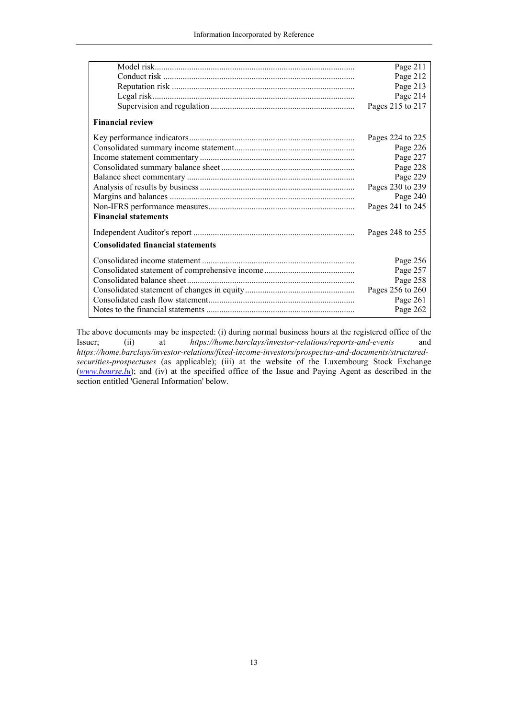|                                          | Page 211         |
|------------------------------------------|------------------|
|                                          | Page 212         |
|                                          | Page 213         |
|                                          | Page 214         |
|                                          | Pages 215 to 217 |
| <b>Financial review</b>                  |                  |
|                                          | Pages 224 to 225 |
|                                          | Page 226         |
|                                          | Page 227         |
|                                          | Page 228         |
|                                          | Page 229         |
|                                          | Pages 230 to 239 |
|                                          | Page 240         |
|                                          | Pages 241 to 245 |
| <b>Financial statements</b>              |                  |
|                                          | Pages 248 to 255 |
| <b>Consolidated financial statements</b> |                  |
|                                          | Page 256         |
|                                          | Page 257         |
|                                          | Page 258         |
|                                          | Pages 256 to 260 |
|                                          | Page 261         |
|                                          | Page 262         |

The above documents may be inspected: (i) during normal business hours at the registered office of the Issuer; (ii) at *https://home.barclays/investor-relations/reports-and-events* and *https://home.barclays/investor-relations/fixed-income-investors/prospectus-and-documents/structuredsecurities-prospectuses* (as applicable); (iii) at the website of the Luxembourg Stock Exchange (*www.bourse.lu*); and (iv) at the specified office of the Issue and Paying Agent as described in the section entitled 'General Information' below.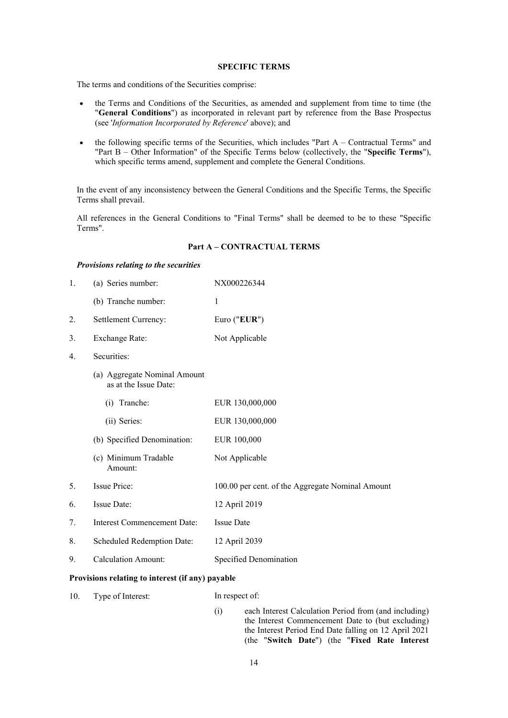#### **SPECIFIC TERMS**

The terms and conditions of the Securities comprise:

- the Terms and Conditions of the Securities, as amended and supplement from time to time (the "**General Conditions**") as incorporated in relevant part by reference from the Base Prospectus (see '*Information Incorporated by Reference*' above); and
- $\bullet$  the following specific terms of the Securities, which includes "Part A Contractual Terms" and "Part B – Other Information" of the Specific Terms below (collectively, the "**Specific Terms**"), which specific terms amend, supplement and complete the General Conditions.

In the event of any inconsistency between the General Conditions and the Specific Terms, the Specific Terms shall prevail.

All references in the General Conditions to "Final Terms" shall be deemed to be to these "Specific Terms".

## **Part A – CONTRACTUAL TERMS**

### *Provisions relating to the securities*

| 1. | (a) Series number:                                    | NX000226344                                      |
|----|-------------------------------------------------------|--------------------------------------------------|
|    | (b) Tranche number:                                   | 1                                                |
| 2. | Settlement Currency:                                  | Euro ("EUR")                                     |
| 3. | Exchange Rate:<br>Not Applicable                      |                                                  |
| 4. | Securities:                                           |                                                  |
|    | (a) Aggregate Nominal Amount<br>as at the Issue Date: |                                                  |
|    | Tranche:<br>(i)                                       | EUR 130,000,000                                  |
|    | (ii) Series:                                          | EUR 130,000,000                                  |
|    | (b) Specified Denomination:                           | EUR 100,000                                      |
|    | (c) Minimum Tradable<br>Amount:                       | Not Applicable                                   |
| 5. | Issue Price:                                          | 100.00 per cent. of the Aggregate Nominal Amount |
| 6. | Issue Date:                                           | 12 April 2019                                    |
| 7. | Interest Commencement Date:                           | <b>Issue Date</b>                                |
| 8. | Scheduled Redemption Date:                            | 12 April 2039                                    |
| 9. | <b>Calculation Amount:</b>                            | Specified Denomination                           |

### **Provisions relating to interest (if any) payable**

| 10.<br>Type of Interest: | In respect of: |
|--------------------------|----------------|
|--------------------------|----------------|

(i) each Interest Calculation Period from (and including) the Interest Commencement Date to (but excluding) the Interest Period End Date falling on 12 April 2021 (the "**Switch Date**") (the "**Fixed Rate Interest**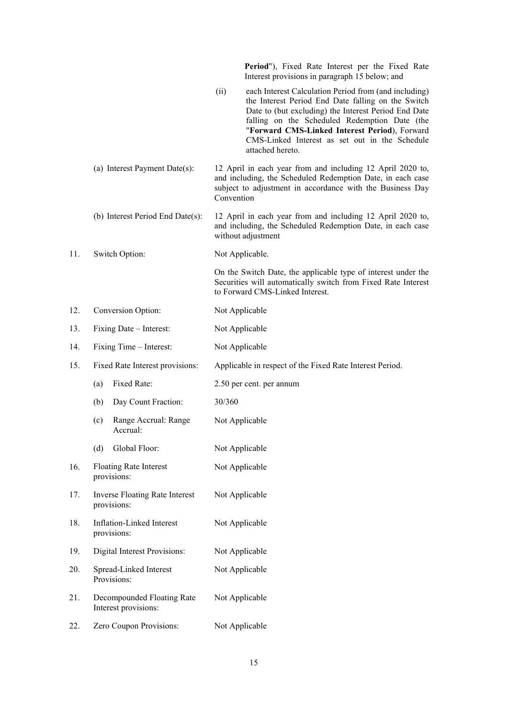|     |                                                      | Period"), Fixed Rate Interest per the Fixed Rate<br>Interest provisions in paragraph 15 below; and                                                                                                                                                                                                                                                  |  |
|-----|------------------------------------------------------|-----------------------------------------------------------------------------------------------------------------------------------------------------------------------------------------------------------------------------------------------------------------------------------------------------------------------------------------------------|--|
|     |                                                      | (ii)<br>each Interest Calculation Period from (and including)<br>the Interest Period End Date falling on the Switch<br>Date to (but excluding) the Interest Period End Date<br>falling on the Scheduled Redemption Date (the<br>"Forward CMS-Linked Interest Period), Forward<br>CMS-Linked Interest as set out in the Schedule<br>attached hereto. |  |
|     | (a) Interest Payment Date(s):                        | 12 April in each year from and including 12 April 2020 to,<br>and including, the Scheduled Redemption Date, in each case<br>subject to adjustment in accordance with the Business Day<br>Convention                                                                                                                                                 |  |
|     | (b) Interest Period End Date(s):                     | 12 April in each year from and including 12 April 2020 to,<br>and including, the Scheduled Redemption Date, in each case<br>without adjustment                                                                                                                                                                                                      |  |
| 11. | Switch Option:                                       | Not Applicable.                                                                                                                                                                                                                                                                                                                                     |  |
|     |                                                      | On the Switch Date, the applicable type of interest under the<br>Securities will automatically switch from Fixed Rate Interest<br>to Forward CMS-Linked Interest.                                                                                                                                                                                   |  |
| 12. | Conversion Option:                                   | Not Applicable                                                                                                                                                                                                                                                                                                                                      |  |
| 13. | Fixing Date - Interest:                              | Not Applicable                                                                                                                                                                                                                                                                                                                                      |  |
| 14. | Fixing Time – Interest:                              | Not Applicable                                                                                                                                                                                                                                                                                                                                      |  |
| 15. | Fixed Rate Interest provisions:                      | Applicable in respect of the Fixed Rate Interest Period.                                                                                                                                                                                                                                                                                            |  |
|     | Fixed Rate:<br>(a)                                   | 2.50 per cent. per annum                                                                                                                                                                                                                                                                                                                            |  |
|     | Day Count Fraction:<br>(b)                           | 30/360                                                                                                                                                                                                                                                                                                                                              |  |
|     | Range Accrual: Range<br>(c)<br>Accrual:              | Not Applicable                                                                                                                                                                                                                                                                                                                                      |  |
|     | Global Floor:<br>(d)                                 | Not Applicable                                                                                                                                                                                                                                                                                                                                      |  |
| 16. | <b>Floating Rate Interest</b><br>provisions:         | Not Applicable                                                                                                                                                                                                                                                                                                                                      |  |
| 17. | <b>Inverse Floating Rate Interest</b><br>provisions: | Not Applicable                                                                                                                                                                                                                                                                                                                                      |  |
| 18. | Inflation-Linked Interest<br>provisions:             | Not Applicable                                                                                                                                                                                                                                                                                                                                      |  |
| 19. | Digital Interest Provisions:                         | Not Applicable                                                                                                                                                                                                                                                                                                                                      |  |
| 20. | Spread-Linked Interest<br>Provisions:                | Not Applicable                                                                                                                                                                                                                                                                                                                                      |  |
| 21. | Decompounded Floating Rate<br>Interest provisions:   | Not Applicable                                                                                                                                                                                                                                                                                                                                      |  |
| 22. | Zero Coupon Provisions:                              | Not Applicable                                                                                                                                                                                                                                                                                                                                      |  |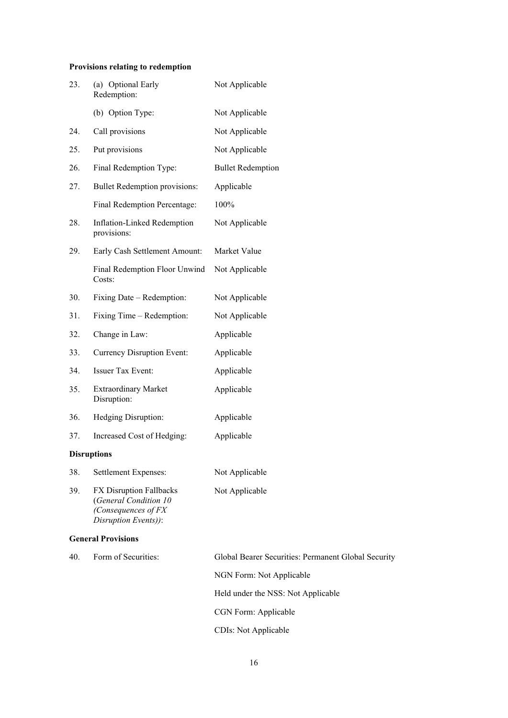# **Provisions relating to redemption**

| 23.                | (a) Optional Early<br>Redemption:                                                               | Not Applicable                                      |
|--------------------|-------------------------------------------------------------------------------------------------|-----------------------------------------------------|
|                    | (b) Option Type:                                                                                | Not Applicable                                      |
| 24.                | Call provisions                                                                                 | Not Applicable                                      |
| 25.                | Put provisions                                                                                  | Not Applicable                                      |
| 26.                | Final Redemption Type:                                                                          | <b>Bullet Redemption</b>                            |
| 27.                | <b>Bullet Redemption provisions:</b>                                                            | Applicable                                          |
|                    | Final Redemption Percentage:                                                                    | 100%                                                |
| 28.                | Inflation-Linked Redemption<br>provisions:                                                      | Not Applicable                                      |
| 29.                | Early Cash Settlement Amount:                                                                   | Market Value                                        |
|                    | Final Redemption Floor Unwind<br>Costs:                                                         | Not Applicable                                      |
| 30.                | Fixing Date – Redemption:                                                                       | Not Applicable                                      |
| 31.                | Fixing Time – Redemption:                                                                       | Not Applicable                                      |
| 32.                | Change in Law:                                                                                  | Applicable                                          |
| 33.                | <b>Currency Disruption Event:</b>                                                               | Applicable                                          |
| 34.                | Issuer Tax Event:                                                                               | Applicable                                          |
| 35.                | <b>Extraordinary Market</b><br>Disruption:                                                      | Applicable                                          |
| 36.                | Hedging Disruption:                                                                             | Applicable                                          |
| 37.                | Increased Cost of Hedging:                                                                      | Applicable                                          |
| <b>Disruptions</b> |                                                                                                 |                                                     |
| 38.                | Settlement Expenses:                                                                            | Not Applicable                                      |
| 39.                | FX Disruption Fallbacks<br>(General Condition 10<br>(Consequences of FX<br>Disruption Events)): | Not Applicable                                      |
|                    | <b>General Provisions</b>                                                                       |                                                     |
| 40.                | Form of Securities:                                                                             | Global Bearer Securities: Permanent Global Security |

NGN Form: Not Applicable Held under the NSS: Not Applicable CGN Form: Applicable CDIs: Not Applicable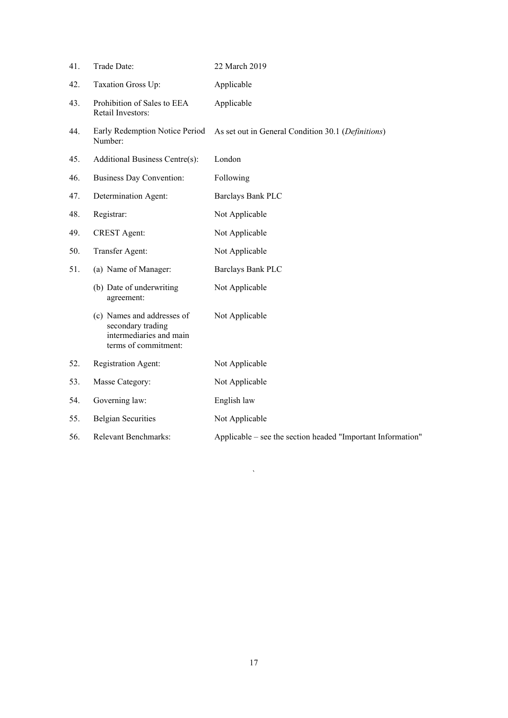| 41. | Trade Date:                                                                                        | 22 March 2019                                               |
|-----|----------------------------------------------------------------------------------------------------|-------------------------------------------------------------|
| 42. | Taxation Gross Up:                                                                                 | Applicable                                                  |
| 43. | Prohibition of Sales to EEA<br>Retail Investors:                                                   | Applicable                                                  |
| 44. | Early Redemption Notice Period<br>Number:                                                          | As set out in General Condition 30.1 (Definitions)          |
| 45. | Additional Business Centre(s):                                                                     | London                                                      |
| 46. | <b>Business Day Convention:</b>                                                                    | Following                                                   |
| 47. | Determination Agent:                                                                               | Barclays Bank PLC                                           |
| 48. | Registrar:                                                                                         | Not Applicable                                              |
| 49. | <b>CREST</b> Agent:                                                                                | Not Applicable                                              |
| 50. | Transfer Agent:                                                                                    | Not Applicable                                              |
| 51. | (a) Name of Manager:                                                                               | <b>Barclays Bank PLC</b>                                    |
|     | (b) Date of underwriting<br>agreement:                                                             | Not Applicable                                              |
|     | (c) Names and addresses of<br>secondary trading<br>intermediaries and main<br>terms of commitment: | Not Applicable                                              |
| 52. | Registration Agent:                                                                                | Not Applicable                                              |
| 53. | Masse Category:                                                                                    | Not Applicable                                              |
| 54. | Governing law:                                                                                     | English law                                                 |
| 55. | <b>Belgian Securities</b>                                                                          | Not Applicable                                              |
| 56. | Relevant Benchmarks:                                                                               | Applicable – see the section headed "Important Information" |

 $\Delta$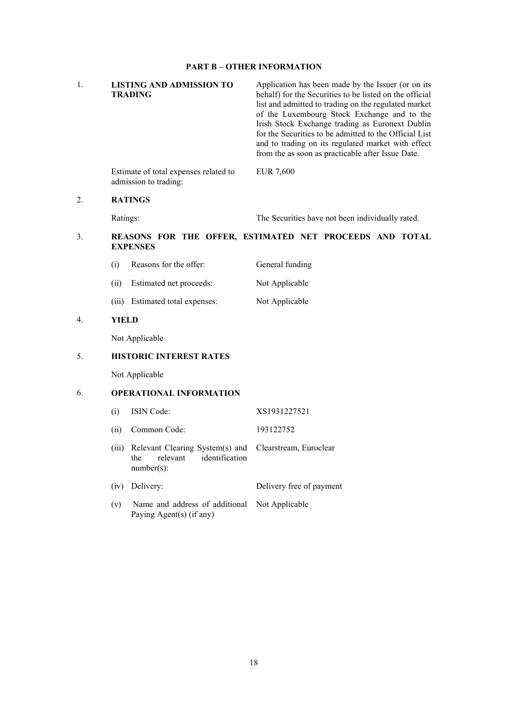## **PART B – OTHER INFORMATION**

| 1.               |              | <b>LISTING AND ADMISSION TO</b><br><b>TRADING</b>                                     | Application has been made by the Issuer (or on its<br>behalf) for the Securities to be listed on the official<br>list and admitted to trading on the regulated market<br>of the Luxembourg Stock Exchange and to the<br>Irish Stock Exchange trading as Euronext Dublin<br>for the Securities to be admitted to the Official List<br>and to trading on its regulated market with effect<br>from the as soon as practicable after Issue Date. |
|------------------|--------------|---------------------------------------------------------------------------------------|----------------------------------------------------------------------------------------------------------------------------------------------------------------------------------------------------------------------------------------------------------------------------------------------------------------------------------------------------------------------------------------------------------------------------------------------|
|                  |              | Estimate of total expenses related to<br>admission to trading:                        | <b>EUR 7,600</b>                                                                                                                                                                                                                                                                                                                                                                                                                             |
| 2.               |              | <b>RATINGS</b>                                                                        |                                                                                                                                                                                                                                                                                                                                                                                                                                              |
|                  | Ratings:     |                                                                                       | The Securities have not been individually rated.                                                                                                                                                                                                                                                                                                                                                                                             |
| 3.               |              | <b>EXPENSES</b>                                                                       | REASONS FOR THE OFFER, ESTIMATED NET PROCEEDS AND TOTAL                                                                                                                                                                                                                                                                                                                                                                                      |
|                  | (i)          | Reasons for the offer:                                                                | General funding                                                                                                                                                                                                                                                                                                                                                                                                                              |
|                  | (ii)         | Estimated net proceeds:                                                               | Not Applicable                                                                                                                                                                                                                                                                                                                                                                                                                               |
|                  |              | (iii) Estimated total expenses:                                                       | Not Applicable                                                                                                                                                                                                                                                                                                                                                                                                                               |
| $\overline{4}$ . | <b>YIELD</b> |                                                                                       |                                                                                                                                                                                                                                                                                                                                                                                                                                              |
|                  |              | Not Applicable                                                                        |                                                                                                                                                                                                                                                                                                                                                                                                                                              |
| 5.               |              | <b>HISTORIC INTEREST RATES</b>                                                        |                                                                                                                                                                                                                                                                                                                                                                                                                                              |
|                  |              | Not Applicable                                                                        |                                                                                                                                                                                                                                                                                                                                                                                                                                              |
| 6.               |              | <b>OPERATIONAL INFORMATION</b>                                                        |                                                                                                                                                                                                                                                                                                                                                                                                                                              |
|                  | (i)          | ISIN Code:                                                                            | XS1931227521                                                                                                                                                                                                                                                                                                                                                                                                                                 |
|                  | (ii)         | Common Code:                                                                          | 193122752                                                                                                                                                                                                                                                                                                                                                                                                                                    |
|                  | (iii)        | Relevant Clearing System(s) and<br>identification<br>the<br>relevant<br>$number(s)$ : | Clearstream, Euroclear                                                                                                                                                                                                                                                                                                                                                                                                                       |
|                  | (iv)         | Delivery:                                                                             | Delivery free of payment                                                                                                                                                                                                                                                                                                                                                                                                                     |
|                  | (v)          | Name and address of additional<br>Paying Agent(s) (if any)                            | Not Applicable                                                                                                                                                                                                                                                                                                                                                                                                                               |
|                  |              |                                                                                       |                                                                                                                                                                                                                                                                                                                                                                                                                                              |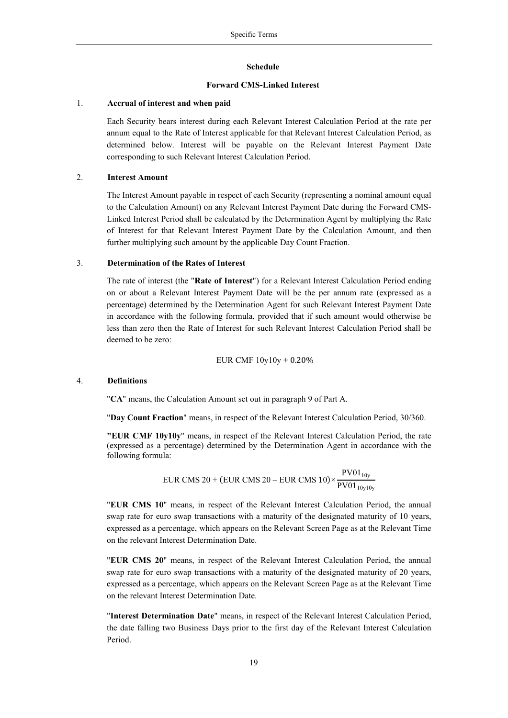#### **Schedule**

## **Forward CMS-Linked Interest**

#### 1. **Accrual of interest and when paid**

Each Security bears interest during each Relevant Interest Calculation Period at the rate per annum equal to the Rate of Interest applicable for that Relevant Interest Calculation Period, as determined below. Interest will be payable on the Relevant Interest Payment Date corresponding to such Relevant Interest Calculation Period.

## 2. **Interest Amount**

The Interest Amount payable in respect of each Security (representing a nominal amount equal to the Calculation Amount) on any Relevant Interest Payment Date during the Forward CMS-Linked Interest Period shall be calculated by the Determination Agent by multiplying the Rate of Interest for that Relevant Interest Payment Date by the Calculation Amount, and then further multiplying such amount by the applicable Day Count Fraction.

### 3. **Determination of the Rates of Interest**

The rate of interest (the "**Rate of Interest**") for a Relevant Interest Calculation Period ending on or about a Relevant Interest Payment Date will be the per annum rate (expressed as a percentage) determined by the Determination Agent for such Relevant Interest Payment Date in accordance with the following formula, provided that if such amount would otherwise be less than zero then the Rate of Interest for such Relevant Interest Calculation Period shall be deemed to be zero:

$$
EUR~CMF~10y10y+0.20\%
$$

#### 4. **Definitions**

"**CA**" means, the Calculation Amount set out in paragraph 9 of Part A.

"**Day Count Fraction**" means, in respect of the Relevant Interest Calculation Period, 30/360.

**"EUR CMF 10y10y**" means, in respect of the Relevant Interest Calculation Period, the rate (expressed as a percentage) determined by the Determination Agent in accordance with the following formula:

$$
EUR\ CMS\ 20 + (EUR\ CMS\ 20 - EUR\ CMS\ 10) \times \frac{PV01_{10y}}{PV01_{10y10y}}
$$

"**EUR CMS 10**" means, in respect of the Relevant Interest Calculation Period, the annual swap rate for euro swap transactions with a maturity of the designated maturity of 10 years, expressed as a percentage, which appears on the Relevant Screen Page as at the Relevant Time on the relevant Interest Determination Date.

"**EUR CMS 20**" means, in respect of the Relevant Interest Calculation Period, the annual swap rate for euro swap transactions with a maturity of the designated maturity of 20 years, expressed as a percentage, which appears on the Relevant Screen Page as at the Relevant Time on the relevant Interest Determination Date.

"**Interest Determination Date**" means, in respect of the Relevant Interest Calculation Period, the date falling two Business Days prior to the first day of the Relevant Interest Calculation Period.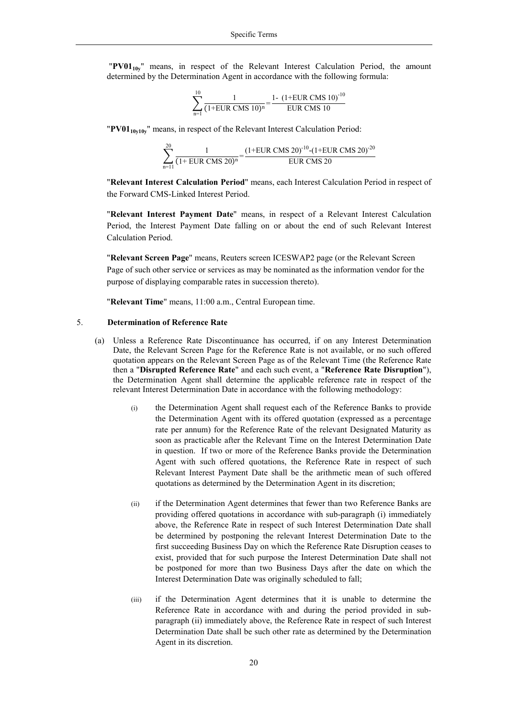"PV01<sub>10v</sub>" means, in respect of the Relevant Interest Calculation Period, the amount determined by the Determination Agent in accordance with the following formula:

$$
\sum_{n=1}^{10} \frac{1}{(1+EUR\ CMS\ 10)^n} = \frac{1 - (1+EUR\ CMS\ 10)^{-10}}{EUR\ CMS\ 10}
$$

"**PV0110y10y**" means, in respect of the Relevant Interest Calculation Period:

$$
\sum_{n=11}^{20} \frac{1}{(1+EUR CMS 20)^n} = \frac{(1+EUR CMS 20)^{-10} - (1+EUR CMS 20)^{-20}}{EUR CMS 20}
$$

"**Relevant Interest Calculation Period**" means, each Interest Calculation Period in respect of the Forward CMS-Linked Interest Period.

"**Relevant Interest Payment Date**" means, in respect of a Relevant Interest Calculation Period, the Interest Payment Date falling on or about the end of such Relevant Interest Calculation Period.

"**Relevant Screen Page**" means, Reuters screen ICESWAP2 page (or the Relevant Screen Page of such other service or services as may be nominated as the information vendor for the purpose of displaying comparable rates in succession thereto).

"**Relevant Time**" means, 11:00 a.m., Central European time.

#### 5. **Determination of Reference Rate**

- (a) Unless a Reference Rate Discontinuance has occurred, if on any Interest Determination Date, the Relevant Screen Page for the Reference Rate is not available, or no such offered quotation appears on the Relevant Screen Page as of the Relevant Time (the Reference Rate then a "**Disrupted Reference Rate**" and each such event, a "**Reference Rate Disruption**"), the Determination Agent shall determine the applicable reference rate in respect of the relevant Interest Determination Date in accordance with the following methodology:
	- (i) the Determination Agent shall request each of the Reference Banks to provide the Determination Agent with its offered quotation (expressed as a percentage rate per annum) for the Reference Rate of the relevant Designated Maturity as soon as practicable after the Relevant Time on the Interest Determination Date in question. If two or more of the Reference Banks provide the Determination Agent with such offered quotations, the Reference Rate in respect of such Relevant Interest Payment Date shall be the arithmetic mean of such offered quotations as determined by the Determination Agent in its discretion;
	- (ii) if the Determination Agent determines that fewer than two Reference Banks are providing offered quotations in accordance with sub-paragraph (i) immediately above, the Reference Rate in respect of such Interest Determination Date shall be determined by postponing the relevant Interest Determination Date to the first succeeding Business Day on which the Reference Rate Disruption ceases to exist, provided that for such purpose the Interest Determination Date shall not be postponed for more than two Business Days after the date on which the Interest Determination Date was originally scheduled to fall;
	- (iii) if the Determination Agent determines that it is unable to determine the Reference Rate in accordance with and during the period provided in subparagraph (ii) immediately above, the Reference Rate in respect of such Interest Determination Date shall be such other rate as determined by the Determination Agent in its discretion.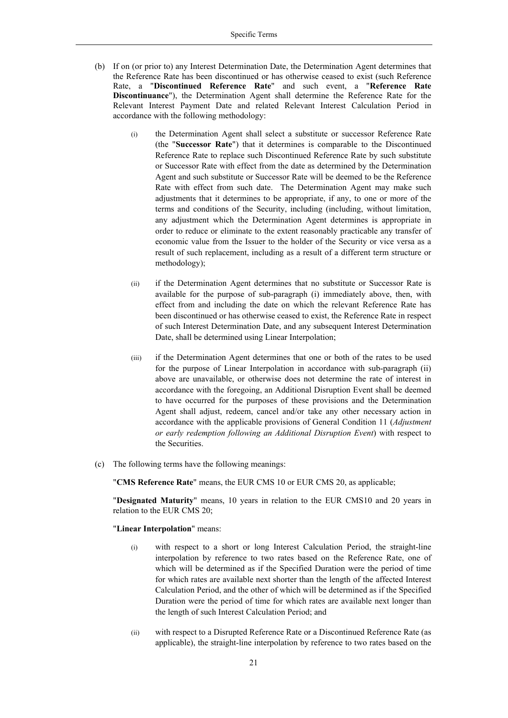- (b) If on (or prior to) any Interest Determination Date, the Determination Agent determines that the Reference Rate has been discontinued or has otherwise ceased to exist (such Reference Rate, a "**Discontinued Reference Rate**" and such event, a "**Reference Rate Discontinuance**"), the Determination Agent shall determine the Reference Rate for the Relevant Interest Payment Date and related Relevant Interest Calculation Period in accordance with the following methodology:
	- (i) the Determination Agent shall select a substitute or successor Reference Rate (the "**Successor Rate**") that it determines is comparable to the Discontinued Reference Rate to replace such Discontinued Reference Rate by such substitute or Successor Rate with effect from the date as determined by the Determination Agent and such substitute or Successor Rate will be deemed to be the Reference Rate with effect from such date. The Determination Agent may make such adjustments that it determines to be appropriate, if any, to one or more of the terms and conditions of the Security, including (including, without limitation, any adjustment which the Determination Agent determines is appropriate in order to reduce or eliminate to the extent reasonably practicable any transfer of economic value from the Issuer to the holder of the Security or vice versa as a result of such replacement, including as a result of a different term structure or methodology);
	- (ii) if the Determination Agent determines that no substitute or Successor Rate is available for the purpose of sub-paragraph (i) immediately above, then, with effect from and including the date on which the relevant Reference Rate has been discontinued or has otherwise ceased to exist, the Reference Rate in respect of such Interest Determination Date, and any subsequent Interest Determination Date, shall be determined using Linear Interpolation;
	- (iii) if the Determination Agent determines that one or both of the rates to be used for the purpose of Linear Interpolation in accordance with sub-paragraph (ii) above are unavailable, or otherwise does not determine the rate of interest in accordance with the foregoing, an Additional Disruption Event shall be deemed to have occurred for the purposes of these provisions and the Determination Agent shall adjust, redeem, cancel and/or take any other necessary action in accordance with the applicable provisions of General Condition 11 (*Adjustment or early redemption following an Additional Disruption Event*) with respect to the Securities.
- (c) The following terms have the following meanings:

"**CMS Reference Rate**" means, the EUR CMS 10 or EUR CMS 20, as applicable;

"**Designated Maturity**" means, 10 years in relation to the EUR CMS10 and 20 years in relation to the EUR CMS 20;

#### "**Linear Interpolation**" means:

- (i) with respect to a short or long Interest Calculation Period, the straight-line interpolation by reference to two rates based on the Reference Rate, one of which will be determined as if the Specified Duration were the period of time for which rates are available next shorter than the length of the affected Interest Calculation Period, and the other of which will be determined as if the Specified Duration were the period of time for which rates are available next longer than the length of such Interest Calculation Period; and
- (ii) with respect to a Disrupted Reference Rate or a Discontinued Reference Rate (as applicable), the straight-line interpolation by reference to two rates based on the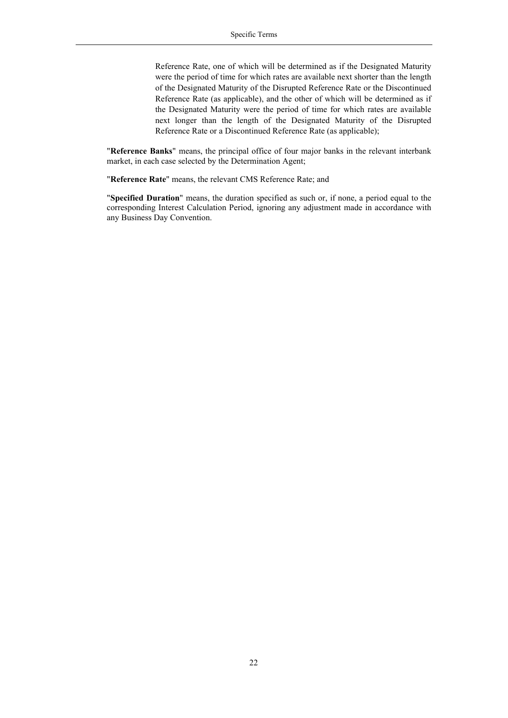Reference Rate, one of which will be determined as if the Designated Maturity were the period of time for which rates are available next shorter than the length of the Designated Maturity of the Disrupted Reference Rate or the Discontinued Reference Rate (as applicable), and the other of which will be determined as if the Designated Maturity were the period of time for which rates are available next longer than the length of the Designated Maturity of the Disrupted Reference Rate or a Discontinued Reference Rate (as applicable);

"**Reference Banks**" means, the principal office of four major banks in the relevant interbank market, in each case selected by the Determination Agent;

"**Reference Rate**" means, the relevant CMS Reference Rate; and

"**Specified Duration**" means, the duration specified as such or, if none, a period equal to the corresponding Interest Calculation Period, ignoring any adjustment made in accordance with any Business Day Convention.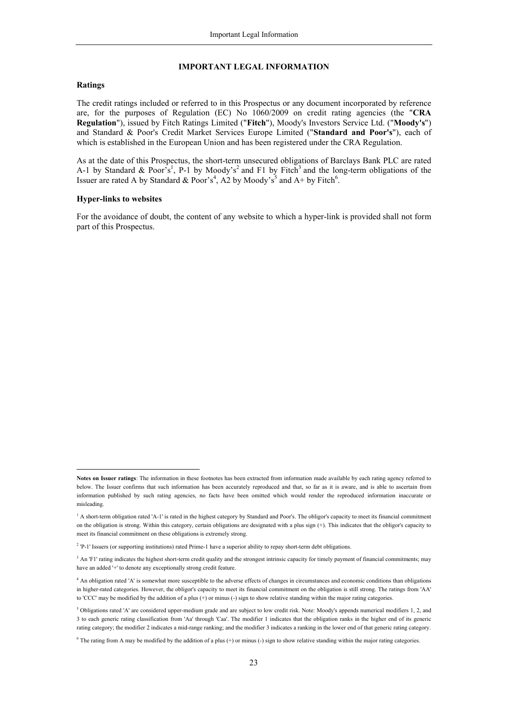#### **IMPORTANT LEGAL INFORMATION**

#### **Ratings**

l

The credit ratings included or referred to in this Prospectus or any document incorporated by reference are, for the purposes of Regulation (EC) No 1060/2009 on credit rating agencies (the "**CRA Regulation**"), issued by Fitch Ratings Limited ("**Fitch**"), Moody's Investors Service Ltd. ("**Moody's**") and Standard & Poor's Credit Market Services Europe Limited ("**Standard and Poor's**"), each of which is established in the European Union and has been registered under the CRA Regulation.

As at the date of this Prospectus, the short-term unsecured obligations of Barclays Bank PLC are rated A-1 by Standard & Poor's<sup>1</sup>, P-1 by Moody's<sup>2</sup> and F1 by Fitch<sup>3</sup> and the long-term obligations of the Issuer are rated A by Standard & Poor's<sup>4</sup>, A2 by Moody's<sup>5</sup> and A+ by Fitch<sup>6</sup>.

#### **Hyper-links to websites**

For the avoidance of doubt, the content of any website to which a hyper-link is provided shall not form part of this Prospectus.

**Notes on Issuer ratings**: The information in these footnotes has been extracted from information made available by each rating agency referred to below. The Issuer confirms that such information has been accurately reproduced and that, so far as it is aware, and is able to ascertain from information published by such rating agencies, no facts have been omitted which would render the reproduced information inaccurate or misleading.

<sup>&</sup>lt;sup>1</sup> A short-term obligation rated 'A-1' is rated in the highest category by Standard and Poor's. The obligor's capacity to meet its financial commitment on the obligation is strong. Within this category, certain obligations are designated with a plus sign (+). This indicates that the obligor's capacity to meet its financial commitment on these obligations is extremely strong.

<sup>&</sup>lt;sup>2</sup> 'P-1' Issuers (or supporting institutions) rated Prime-1 have a superior ability to repay short-term debt obligations.

<sup>&</sup>lt;sup>3</sup> An 'F1' rating indicates the highest short-term credit quality and the strongest intrinsic capacity for timely payment of financial commitments; may have an added '+' to denote any exceptionally strong credit feature.

<sup>4</sup> An obligation rated 'A' is somewhat more susceptible to the adverse effects of changes in circumstances and economic conditions than obligations in higher-rated categories. However, the obligor's capacity to meet its financial commitment on the obligation is still strong. The ratings from 'AA' to 'CCC' may be modified by the addition of a plus (+) or minus (-) sign to show relative standing within the major rating categories.

<sup>5</sup> Obligations rated 'A' are considered upper-medium grade and are subject to low credit risk. Note: Moody's appends numerical modifiers 1, 2, and 3 to each generic rating classification from 'Aa' through 'Caa'. The modifier 1 indicates that the obligation ranks in the higher end of its generic rating category; the modifier 2 indicates a mid-range ranking; and the modifier 3 indicates a ranking in the lower end of that generic rating category.

 $6$  The rating from A may be modified by the addition of a plus (+) or minus (-) sign to show relative standing within the major rating categories.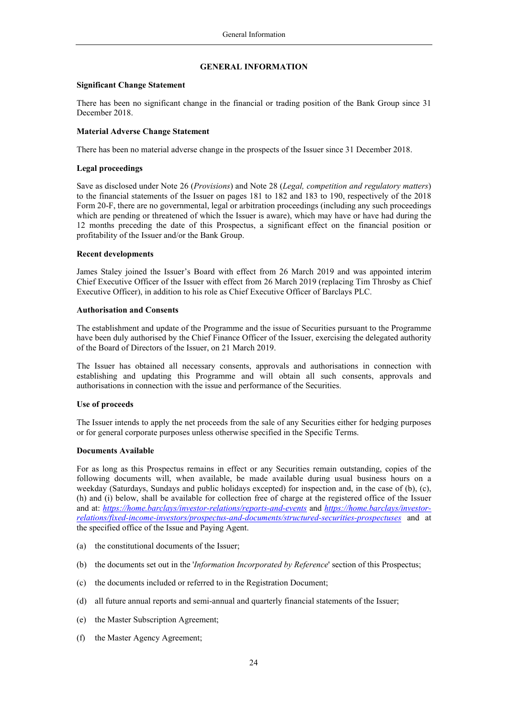### **GENERAL INFORMATION**

#### **Significant Change Statement**

There has been no significant change in the financial or trading position of the Bank Group since 31 December 2018.

#### **Material Adverse Change Statement**

There has been no material adverse change in the prospects of the Issuer since 31 December 2018.

### **Legal proceedings**

Save as disclosed under Note 26 (*Provisions*) and Note 28 (*Legal, competition and regulatory matters*) to the financial statements of the Issuer on pages 181 to 182 and 183 to 190, respectively of the 2018 Form 20-F, there are no governmental, legal or arbitration proceedings (including any such proceedings which are pending or threatened of which the Issuer is aware), which may have or have had during the 12 months preceding the date of this Prospectus, a significant effect on the financial position or profitability of the Issuer and/or the Bank Group.

#### **Recent developments**

James Staley joined the Issuer's Board with effect from 26 March 2019 and was appointed interim Chief Executive Officer of the Issuer with effect from 26 March 2019 (replacing Tim Throsby as Chief Executive Officer), in addition to his role as Chief Executive Officer of Barclays PLC.

#### **Authorisation and Consents**

The establishment and update of the Programme and the issue of Securities pursuant to the Programme have been duly authorised by the Chief Finance Officer of the Issuer, exercising the delegated authority of the Board of Directors of the Issuer, on 21 March 2019.

The Issuer has obtained all necessary consents, approvals and authorisations in connection with establishing and updating this Programme and will obtain all such consents, approvals and authorisations in connection with the issue and performance of the Securities.

## **Use of proceeds**

The Issuer intends to apply the net proceeds from the sale of any Securities either for hedging purposes or for general corporate purposes unless otherwise specified in the Specific Terms.

#### **Documents Available**

For as long as this Prospectus remains in effect or any Securities remain outstanding, copies of the following documents will, when available, be made available during usual business hours on a weekday (Saturdays, Sundays and public holidays excepted) for inspection and, in the case of (b), (c), (h) and (i) below, shall be available for collection free of charge at the registered office of the Issuer and at: *https://home.barclays/investor-relations/reports-and-events* and *https://home.barclays/investorrelations/fixed-income-investors/prospectus-and-documents/structured-securities-prospectuses* and at the specified office of the Issue and Paying Agent.

- (a) the constitutional documents of the Issuer;
- (b) the documents set out in the '*Information Incorporated by Reference*' section of this Prospectus;
- (c) the documents included or referred to in the Registration Document;
- (d) all future annual reports and semi-annual and quarterly financial statements of the Issuer;
- (e) the Master Subscription Agreement;
- (f) the Master Agency Agreement;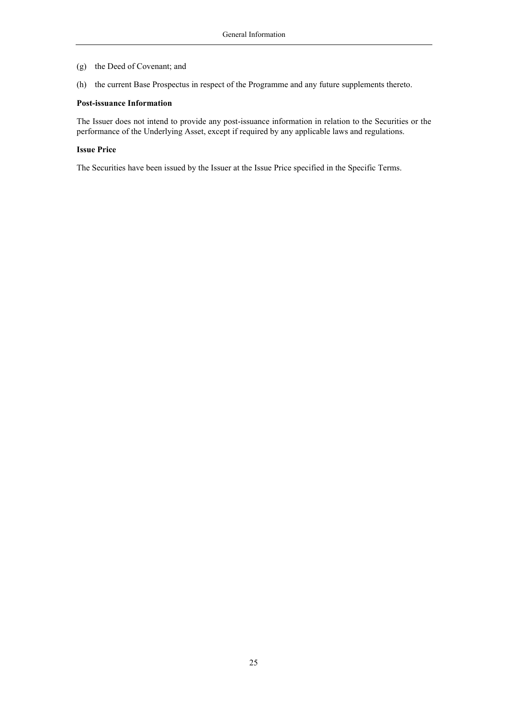- (g) the Deed of Covenant; and
- (h) the current Base Prospectus in respect of the Programme and any future supplements thereto.

#### **Post-issuance Information**

The Issuer does not intend to provide any post-issuance information in relation to the Securities or the performance of the Underlying Asset, except if required by any applicable laws and regulations.

#### **Issue Price**

The Securities have been issued by the Issuer at the Issue Price specified in the Specific Terms.